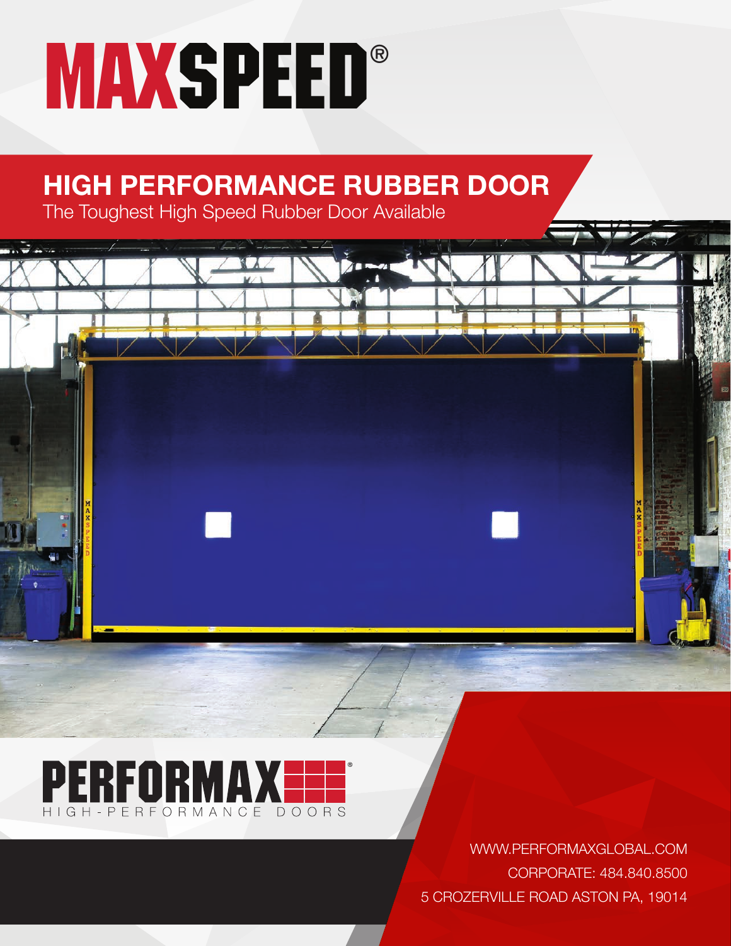# **MAXSPEED®**

## **HIGH PERFORMANCE RUBBER DOOR**

The Toughest High Speed Rubber Door Available



WWW.PERFORMAXGLOBAL.COM CORPORATE: 484.840.8500 5 CROZERVILLE ROAD ASTON PA, 19014